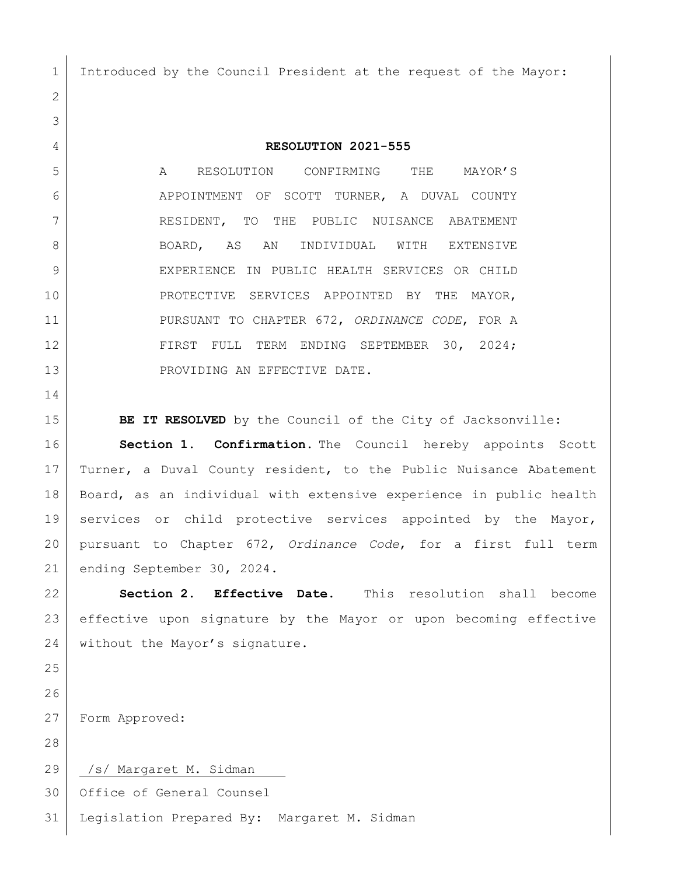Introduced by the Council President at the request of the Mayor:

**RESOLUTION 2021-555**

 A RESOLUTION CONFIRMING THE MAYOR'S APPOINTMENT OF SCOTT TURNER, A DUVAL COUNTY 7 RESIDENT, TO THE PUBLIC NUISANCE ABATEMENT BOARD, AS AN INDIVIDUAL WITH EXTENSIVE EXPERIENCE IN PUBLIC HEALTH SERVICES OR CHILD 10 PROTECTIVE SERVICES APPOINTED BY THE MAYOR, PURSUANT TO CHAPTER 672, *ORDINANCE CODE*, FOR A FIRST FULL TERM ENDING SEPTEMBER 30, 2024; 13 PROVIDING AN EFFECTIVE DATE.

**BE IT RESOLVED** by the Council of the City of Jacksonville:

**Section 1. Confirmation.** The Council hereby appoints Scott Turner, a Duval County resident, to the Public Nuisance Abatement Board, as an individual with extensive experience in public health services or child protective services appointed by the Mayor, pursuant to Chapter 672, *Ordinance Code*, for a first full term ending September 30, 2024.

 **Section 2. Effective Date.** This resolution shall become effective upon signature by the Mayor or upon becoming effective 24 without the Mayor's signature.

Form Approved:

29 | /s/ Margaret M. Sidman

Office of General Counsel

Legislation Prepared By: Margaret M. Sidman